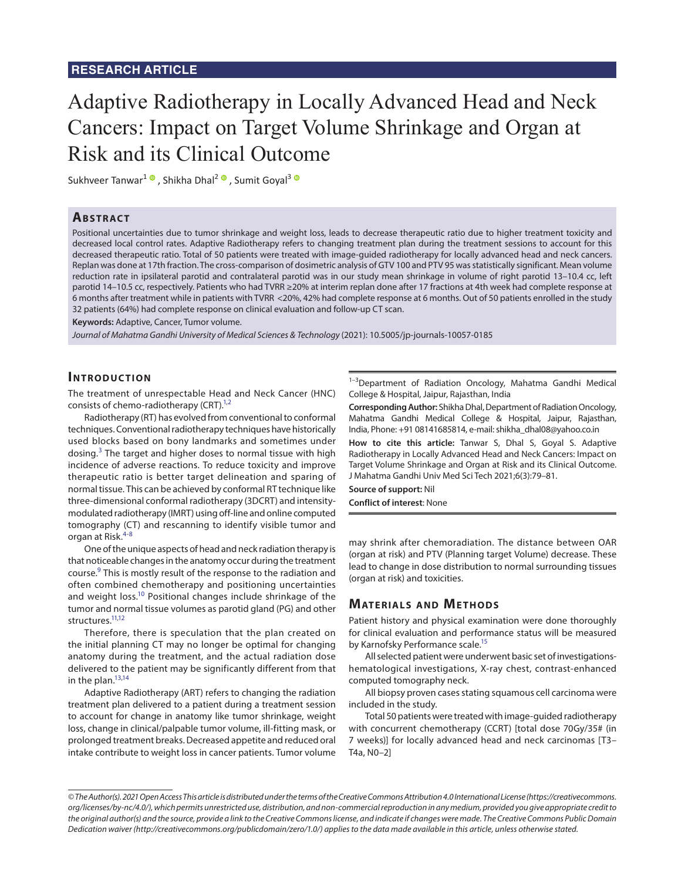# Adaptive Radiotherapy in Locally Advanced Head and Neck Cancers: Impact on Target Volume Shrinkage and Organ at Risk and its Clinical Outcome

Sukhveer Tanwar<sup>1</sup><sup>o</sup>, Shikha Dhal<sup>2</sup><sup>o</sup>, Sumit Goval<sup>3</sup><sup>o</sup>

## **ABSTRACT**

Positional uncertainties due to tumor shrinkage and weight loss, leads to decrease therapeutic ratio due to higher treatment toxicity and decreased local control rates. Adaptive Radiotherapy refers to changing treatment plan during the treatment sessions to account for this decreased therapeutic ratio. Total of 50 patients were treated with image-guided radiotherapy for locally advanced head and neck cancers. Replan was done at 17th fraction. The cross-comparison of dosimetric analysis of GTV 100 and PTV 95 was statistically significant. Mean volume reduction rate in ipsilateral parotid and contralateral parotid was in our study mean shrinkage in volume of right parotid 13–10.4 cc, left parotid 14–10.5 cc, respectively. Patients who had TVRR ≥20% at interim replan done after 17 fractions at 4th week had complete response at 6 months after treatment while in patients with TVRR <20%, 42% had complete response at 6 months. Out of 50 patients enrolled in the study 32 patients (64%) had complete response on clinical evaluation and follow-up CT scan.

**Keywords:** Adaptive, Cancer, Tumor volume.

*Journal of Mahatma Gandhi University of Medical Sciences & Technology* (2021): 10.5005/jp-journals-10057-0185

## **INTRODUCTION**

The treatment of unrespectable Head and Neck Cancer (HNC) consists of chemo-radiotherapy (CRT).<sup>1[,2](#page-2-2)</sup>

<span id="page-0-10"></span>Radiotherapy (RT) has evolved from conventional to conformal techniques. Conventional radiotherapy techniques have historically used blocks based on bony landmarks and sometimes under dosing.<sup>[3](#page-2-3)</sup> The target and higher doses to normal tissue with high incidence of adverse reactions. To reduce toxicity and improve therapeutic ratio is better target delineation and sparing of normal tissue. This can be achieved by conformal RT technique like three-dimensional conformal radiotherapy (3DCRT) and intensitymodulated radiotherapy (IMRT) using off-line and online computed tomography (CT) and rescanning to identify visible tumor and organ at Risk.<sup>[4](#page-2-4)-[8](#page-2-5)</sup>

<span id="page-0-11"></span><span id="page-0-1"></span><span id="page-0-0"></span>One of the unique aspects of head and neck radiation therapy is that noticeable changes in the anatomy occur during the treatment course.<sup>9</sup> This is mostly result of the response to the radiation and often combined chemotherapy and positioning uncertainties and weight loss.<sup>10</sup> Positional changes include shrinkage of the tumor and normal tissue volumes as parotid gland (PG) and other structures.<sup>11,[12](#page-2-9)</sup>

<span id="page-0-4"></span><span id="page-0-3"></span><span id="page-0-2"></span>Therefore, there is speculation that the plan created on the initial planning CT may no longer be optimal for changing anatomy during the treatment, and the actual radiation dose delivered to the patient may be significantly different from that in the plan. $13,14$  $13,14$ 

<span id="page-0-6"></span><span id="page-0-5"></span>Adaptive Radiotherapy (ART) refers to changing the radiation treatment plan delivered to a patient during a treatment session to account for change in anatomy like tumor shrinkage, weight loss, change in clinical/palpable tumor volume, ill-fitting mask, or prolonged treatment breaks. Decreased appetite and reduced oral intake contribute to weight loss in cancer patients. Tumor volume

 $1-3$ Department of Radiation Oncology, Mahatma Gandhi Medical College & Hospital, Jaipur, Rajasthan, India

<span id="page-0-9"></span><span id="page-0-8"></span>**Corresponding Author:** Shikha Dhal, Department of Radiation Oncology, Mahatma Gandhi Medical College & Hospital, Jaipur, Rajasthan, India, Phone: +91 08141685814, e-mail: shikha\_dhal08@yahoo.co.in

**How to cite this article:** Tanwar S, Dhal S, Goyal S. Adaptive Radiotherapy in Locally Advanced Head and Neck Cancers: Impact on Target Volume Shrinkage and Organ at Risk and its Clinical Outcome. J Mahatma Gandhi Univ Med Sci Tech 2021;6(3):79–81.

**Source of support:** Nil **Conflict of interest**: None

may shrink after chemoradiation. The distance between OAR (organ at risk) and PTV (Planning target Volume) decrease. These lead to change in dose distribution to normal surrounding tissues (organ at risk) and toxicities.

## **MATERIALS AND METHODS**

Patient history and physical examination were done thoroughly for clinical evaluation and performance status will be measured by Karnofsky Performance scale.<sup>15</sup>

<span id="page-0-7"></span>All selected patient were underwent basic set of investigationshematological investigations, X-ray chest, contrast-enhanced computed tomography neck.

All biopsy proven cases stating squamous cell carcinoma were included in the study.

Total 50 patients were treated with image-guided radiotherapy with concurrent chemotherapy (CCRT) [total dose 70Gy/35# (in 7 weeks)] for locally advanced head and neck carcinomas [T3– T4a, N0–2]

*<sup>©</sup> The Author(s). 2021 Open Access This article is distributed under the terms of the Creative Commons Attribution 4.0 International License (https://creativecommons. org/licenses/by-nc/4.0/), which permits unrestricted use, distribution, and non-commercial reproduction in any medium, provided you give appropriate credit to the original author(s) and the source, provide a link to the Creative Commons license, and indicate if changes were made. The Creative Commons Public Domain Dedication waiver (http://creativecommons.org/publicdomain/zero/1.0/) applies to the data made available in this article, unless otherwise stated.*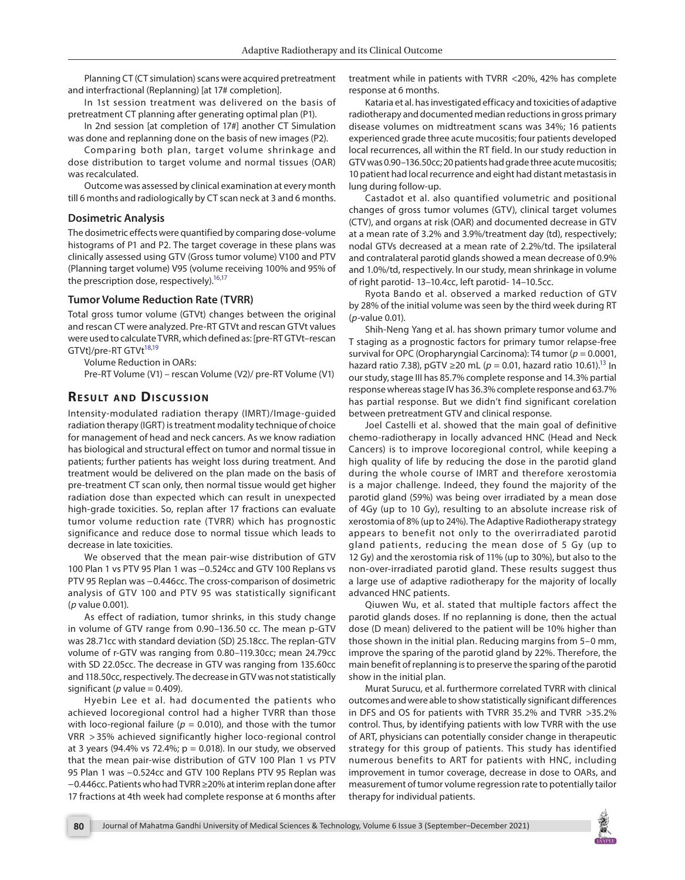Planning CT (CT simulation) scans were acquired pretreatment and interfractional (Replanning) [at 17# completion].

In 1st session treatment was delivered on the basis of pretreatment CT planning after generating optimal plan (P1).

In 2nd session [at completion of 17#] another CT Simulation was done and replanning done on the basis of new images (P2).

Comparing both plan, target volume shrinkage and dose distribution to target volume and normal tissues (OAR) was recalculated.

Outcome was assessed by clinical examination at every month till 6 months and radiologically by CT scan neck at 3 and 6 months.

#### **Dosimetric Analysis**

The dosimetric effects were quantified by comparing dose-volume histograms of P1 and P2. The target coverage in these plans was clinically assessed using GTV (Gross tumor volume) V100 and PTV (Planning target volume) V95 (volume receiving 100% and 95% of the prescription dose, respectively).<sup>16[,17](#page-2-13)</sup>

#### **Tumor Volume Reduction Rate (TVRR)**

Total gross tumor volume (GTVt) changes between the original and rescan CT were analyzed. Pre-RT GTVt and rescan GTVt values were used to calculate TVRR, which defined as: [pre-RT GTVt–rescan GTVt]/pre-RT GTVt<sup>18,[19](#page-2-15)</sup>

Volume Reduction in OARs:

Pre-RT Volume (V1) – rescan Volume (V2)/ pre-RT Volume (V1)

## **RESULT AND DISCUSSION**

Intensity-modulated radiation therapy (IMRT)/Image-guided radiation therapy (IGRT) is treatment modality technique of choice for management of head and neck cancers. As we know radiation has biological and structural effect on tumor and normal tissue in patients; further patients has weight loss during treatment. And treatment would be delivered on the plan made on the basis of pre-treatment CT scan only, then normal tissue would get higher radiation dose than expected which can result in unexpected high-grade toxicities. So, replan after 17 fractions can evaluate tumor volume reduction rate (TVRR) which has prognostic significance and reduce dose to normal tissue which leads to decrease in late toxicities.

We observed that the mean pair-wise distribution of GTV 100 Plan 1 vs PTV 95 Plan 1 was −0.524cc and GTV 100 Replans vs PTV 95 Replan was -0.446cc. The cross-comparison of dosimetric analysis of GTV 100 and PTV 95 was statistically significant (*p* value 0.001).

As effect of radiation, tumor shrinks, in this study change in volume of GTV range from 0.90–136.50 cc. The mean p-GTV was 28.71cc with standard deviation (SD) 25.18cc. The replan-GTV volume of r-GTV was ranging from 0.80–119.30cc; mean 24.79cc with SD 22.05cc. The decrease in GTV was ranging from 135.60cc and 118.50cc, respectively. The decrease in GTV was not statistically significant ( $p$  value = 0.409).

Hyebin Lee et al. had documented the patients who achieved locoregional control had a higher TVRR than those with loco-regional failure ( $p = 0.010$ ), and those with the tumor VRR > 35% achieved significantly higher loco-regional control at 3 years (94.4% vs 72.4%;  $p = 0.018$ ). In our study, we observed that the mean pair-wise distribution of GTV 100 Plan 1 vs PTV 95 Plan 1 was -0.524cc and GTV 100 Replans PTV 95 Replan was −0.446cc. Patients who had TVRR ≥20% at interim replan done after 17 fractions at 4th week had complete response at 6 months after treatment while in patients with TVRR <20%, 42% has complete response at 6 months.

Kataria et al. has investigated efficacy and toxicities of adaptive radiotherapy and documented median reductions in gross primary disease volumes on midtreatment scans was 34%; 16 patients experienced grade three acute mucositis; four patients developed local recurrences, all within the RT field. In our study reduction in GTV was 0.90–136.50cc; 20 patients had grade three acute mucositis; 10 patient had local recurrence and eight had distant metastasis in lung during follow-up.

Castadot et al. also quantified volumetric and positional changes of gross tumor volumes (GTV), clinical target volumes (CTV), and organs at risk (OAR) and documented decrease in GTV at a mean rate of 3.2% and 3.9%/treatment day (td), respectively; nodal GTVs decreased at a mean rate of 2.2%/td. The ipsilateral and contralateral parotid glands showed a mean decrease of 0.9% and 1.0%/td, respectively. In our study, mean shrinkage in volume of right parotid- 13–10.4cc, left parotid- 14–10.5cc.

<span id="page-1-1"></span><span id="page-1-0"></span>Ryota Bando et al. observed a marked reduction of GTV by 28% of the initial volume was seen by the third week during RT (*p*-value 0.01).

<span id="page-1-3"></span><span id="page-1-2"></span>Shih-Neng Yang et al. has shown primary tumor volume and T staging as a prognostic factors for primary tumor relapse-free survival for OPC (Oropharyngial Carcinoma): T4 tumor ( $p = 0.0001$ , hazard ratio 7.38), pGTV ≥20 mL ( $p = 0.01$ , hazard ratio 10.61).<sup>13</sup> In our study, stage III has 85.7% complete response and 14.3% partial response whereas stage IV has 36.3% complete response and 63.7% has partial response. But we didn't find significant corelation between pretreatment GTV and clinical response.

Joel Castelli et al. showed that the main goal of definitive chemo-radiotherapy in locally advanced HNC (Head and Neck Cancers) is to improve locoregional control, while keeping a high quality of life by reducing the dose in the parotid gland during the whole course of IMRT and therefore xerostomia is a major challenge. Indeed, they found the majority of the parotid gland (59%) was being over irradiated by a mean dose of 4Gy (up to 10 Gy), resulting to an absolute increase risk of xerostomia of 8% (up to 24%). The Adaptive Radiotherapy strategy appears to benefit not only to the overirradiated parotid gland patients, reducing the mean dose of 5 Gy (up to 12 Gy) and the xerostomia risk of 11% (up to 30%), but also to the non-over-irradiated parotid gland. These results suggest thus a large use of adaptive radiotherapy for the majority of locally advanced HNC patients.

Qiuwen Wu, et al. stated that multiple factors affect the parotid glands doses. If no replanning is done, then the actual dose (D mean) delivered to the patient will be 10% higher than those shown in the initial plan. Reducing margins from 5–0 mm, improve the sparing of the parotid gland by 22%. Therefore, the main benefit of replanning is to preserve the sparing of the parotid show in the initial plan.

Murat Surucu, et al. furthermore correlated TVRR with clinical outcomes and were able to show statistically significant differences in DFS and OS for patients with TVRR 35.2% and TVRR >35.2% control. Thus, by identifying patients with low TVRR with the use of ART, physicians can potentially consider change in therapeutic strategy for this group of patients. This study has identified numerous benefits to ART for patients with HNC, including improvement in tumor coverage, decrease in dose to OARs, and measurement of tumor volume regression rate to potentially tailor therapy for individual patients.